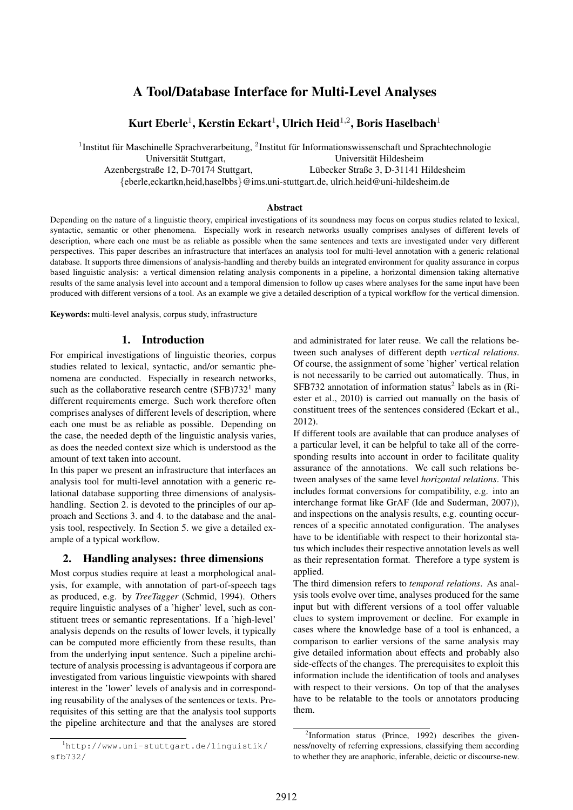# A Tool/Database Interface for Multi-Level Analyses

## Kurt Eberle $^1$ , Kerstin Eckart $^1$ , Ulrich Heid $^{1,2}$ , Boris Haselbach $^1$

 $1$ Institut für Maschinelle Sprachverarbeitung,  $2$ Institut für Informationswissenschaft und Sprachtechnologie Universität Stuttgart, 
universität Eildesheim Azenbergstraße 12, D-70174 Stuttgart, Lubecker Straße 3, D-31141 Hildesheim ¨ {eberle,eckartkn,heid,haselbbs}@ims.uni-stuttgart.de, ulrich.heid@uni-hildesheim.de

Abstract

Depending on the nature of a linguistic theory, empirical investigations of its soundness may focus on corpus studies related to lexical, syntactic, semantic or other phenomena. Especially work in research networks usually comprises analyses of different levels of description, where each one must be as reliable as possible when the same sentences and texts are investigated under very different perspectives. This paper describes an infrastructure that interfaces an analysis tool for multi-level annotation with a generic relational database. It supports three dimensions of analysis-handling and thereby builds an integrated environment for quality assurance in corpus based linguistic analysis: a vertical dimension relating analysis components in a pipeline, a horizontal dimension taking alternative results of the same analysis level into account and a temporal dimension to follow up cases where analyses for the same input have been produced with different versions of a tool. As an example we give a detailed description of a typical workflow for the vertical dimension.

Keywords: multi-level analysis, corpus study, infrastructure

#### 1. Introduction

For empirical investigations of linguistic theories, corpus studies related to lexical, syntactic, and/or semantic phenomena are conducted. Especially in research networks, such as the collaborative research centre  $(SFB)732<sup>1</sup>$  many different requirements emerge. Such work therefore often comprises analyses of different levels of description, where each one must be as reliable as possible. Depending on the case, the needed depth of the linguistic analysis varies, as does the needed context size which is understood as the amount of text taken into account.

In this paper we present an infrastructure that interfaces an analysis tool for multi-level annotation with a generic relational database supporting three dimensions of analysishandling. Section 2. is devoted to the principles of our approach and Sections 3. and 4. to the database and the analysis tool, respectively. In Section 5. we give a detailed example of a typical workflow.

#### 2. Handling analyses: three dimensions

Most corpus studies require at least a morphological analysis, for example, with annotation of part-of-speech tags as produced, e.g. by *TreeTagger* (Schmid, 1994). Others require linguistic analyses of a 'higher' level, such as constituent trees or semantic representations. If a 'high-level' analysis depends on the results of lower levels, it typically can be computed more efficiently from these results, than from the underlying input sentence. Such a pipeline architecture of analysis processing is advantageous if corpora are investigated from various linguistic viewpoints with shared interest in the 'lower' levels of analysis and in corresponding reusability of the analyses of the sentences or texts. Prerequisites of this setting are that the analysis tool supports the pipeline architecture and that the analyses are stored and administrated for later reuse. We call the relations between such analyses of different depth *vertical relations*. Of course, the assignment of some 'higher' vertical relation is not necessarily to be carried out automatically. Thus, in SFB732 annotation of information status<sup>2</sup> labels as in (Riester et al., 2010) is carried out manually on the basis of constituent trees of the sentences considered (Eckart et al., 2012).

If different tools are available that can produce analyses of a particular level, it can be helpful to take all of the corresponding results into account in order to facilitate quality assurance of the annotations. We call such relations between analyses of the same level *horizontal relations*. This includes format conversions for compatibility, e.g. into an interchange format like GrAF (Ide and Suderman, 2007)), and inspections on the analysis results, e.g. counting occurrences of a specific annotated configuration. The analyses have to be identifiable with respect to their horizontal status which includes their respective annotation levels as well as their representation format. Therefore a type system is applied.

The third dimension refers to *temporal relations*. As analysis tools evolve over time, analyses produced for the same input but with different versions of a tool offer valuable clues to system improvement or decline. For example in cases where the knowledge base of a tool is enhanced, a comparison to earlier versions of the same analysis may give detailed information about effects and probably also side-effects of the changes. The prerequisites to exploit this information include the identification of tools and analyses with respect to their versions. On top of that the analyses have to be relatable to the tools or annotators producing them.

<sup>1</sup>http://www.uni-stuttgart.de/linguistik/ sfb732/

<sup>&</sup>lt;sup>2</sup>Information status (Prince, 1992) describes the givenness/novelty of referring expressions, classifying them according to whether they are anaphoric, inferable, deictic or discourse-new.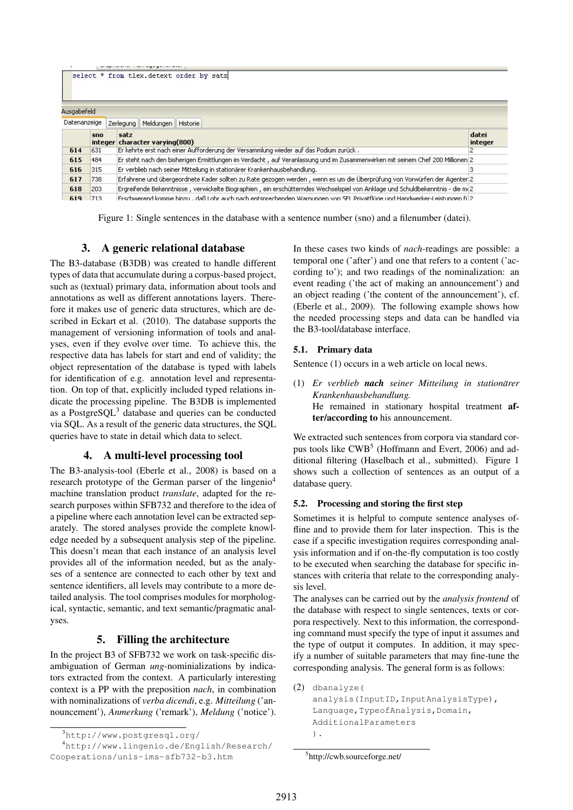| Ausgabefeld  |     |      |                                                                                      |                                                                                                                                 |   |  |  |
|--------------|-----|------|--------------------------------------------------------------------------------------|---------------------------------------------------------------------------------------------------------------------------------|---|--|--|
| Datenanzeige |     |      | Zerlegung Meldungen Historie                                                         |                                                                                                                                 |   |  |  |
|              | sno | satz | integer character varying(800)                                                       |                                                                                                                                 |   |  |  |
| 614          | 631 |      | Er kehrte erst nach einer Aufforderung der Versammlung wieder auf das Podium zurück. |                                                                                                                                 | 2 |  |  |
| 615          | 484 |      |                                                                                      | Er steht nach den bisherigen Ermittlungen im Verdacht , auf Veranlässung und im Züsammenwirken mit seinem Chef 200 Millionen 2. |   |  |  |
| 616          | 315 |      | Er verblieb nach seiner Mitteilung in stationärer Krankenhausbehandlung.             |                                                                                                                                 |   |  |  |
| 617          | 738 |      |                                                                                      | Erfahrene und übergeordnete Kader sollten zu Rate gezogen werden , wenn es um die Überprüfung von Vorwürfen der Agenter 2       |   |  |  |
| 618          | 203 |      |                                                                                      | Ergreifende Bekenntnisse, verwickelte Biographien, ein erschütterndes Wechselspiel von Anklage und Schuldbekenntnis - die mi2   |   |  |  |
| 619          | 713 |      |                                                                                      | Erschwerend komme binzul. daß Lohr auch nach entsprechenden Warnungen von SEL Privatflüge und Handwerker-Leistungen fül2        |   |  |  |

Figure 1: Single sentences in the database with a sentence number (sno) and a filenumber (datei).

### 3. A generic relational database

The B3-database (B3DB) was created to handle different types of data that accumulate during a corpus-based project, such as (textual) primary data, information about tools and annotations as well as different annotations layers. Therefore it makes use of generic data structures, which are described in Eckart et al. (2010). The database supports the management of versioning information of tools and analyses, even if they evolve over time. To achieve this, the respective data has labels for start and end of validity; the object representation of the database is typed with labels for identification of e.g. annotation level and representation. On top of that, explicitly included typed relations indicate the processing pipeline. The B3DB is implemented as a Postgre $SQL^3$  database and queries can be conducted via SQL. As a result of the generic data structures, the SQL queries have to state in detail which data to select.

### 4. A multi-level processing tool

The B3-analysis-tool (Eberle et al., 2008) is based on a research prototype of the German parser of the lingenio<sup>4</sup> machine translation product *translate*, adapted for the research purposes within SFB732 and therefore to the idea of a pipeline where each annotation level can be extracted separately. The stored analyses provide the complete knowledge needed by a subsequent analysis step of the pipeline. This doesn't mean that each instance of an analysis level provides all of the information needed, but as the analyses of a sentence are connected to each other by text and sentence identifiers, all levels may contribute to a more detailed analysis. The tool comprises modules for morphological, syntactic, semantic, and text semantic/pragmatic analyses.

### 5. Filling the architecture

In the project B3 of SFB732 we work on task-specific disambiguation of German *ung*-nominializations by indicators extracted from the context. A particularly interesting context is a PP with the preposition *nach*, in combination with nominalizations of *verba dicendi*, e.g. *Mitteilung* ('announcement'), *Anmerkung* ('remark'), *Meldung* ('notice'). In these cases two kinds of *nach*-readings are possible: a temporal one ('after') and one that refers to a content ('according to'); and two readings of the nominalization: an event reading ('the act of making an announcement') and an object reading ('the content of the announcement'), cf. (Eberle et al., 2009). The following example shows how the needed processing steps and data can be handled via the B3-tool/database interface.

#### 5.1. Primary data

Sentence (1) occurs in a web article on local news.

(1) *Er verblieb nach seiner Mitteilung in stationarer ¨ Krankenhausbehandlung.* He remained in stationary hospital treatment after/according to his announcement.

We extracted such sentences from corpora via standard corpus tools like CWB<sup>5</sup> (Hoffmann and Evert, 2006) and additional filtering (Haselbach et al., submitted). Figure 1 shows such a collection of sentences as an output of a database query.

#### 5.2. Processing and storing the first step

Sometimes it is helpful to compute sentence analyses offline and to provide them for later inspection. This is the case if a specific investigation requires corresponding analysis information and if on-the-fly computation is too costly to be executed when searching the database for specific instances with criteria that relate to the corresponding analysis level.

The analyses can be carried out by the *analysis frontend* of the database with respect to single sentences, texts or corpora respectively. Next to this information, the corresponding command must specify the type of input it assumes and the type of output it computes. In addition, it may specify a number of suitable parameters that may fine-tune the corresponding analysis. The general form is as follows:

```
(2) dbanalyze(
    analysis(InputID, InputAnalysisType),
    Language,TypeofAnalysis,Domain,
   AdditionalParameters
    ).
```
<sup>3</sup>http://www.postgresql.org/

<sup>4</sup>http://www.lingenio.de/English/Research/ Cooperations/unis-ims-sfb732-b3.htm

<sup>5</sup> http://cwb.sourceforge.net/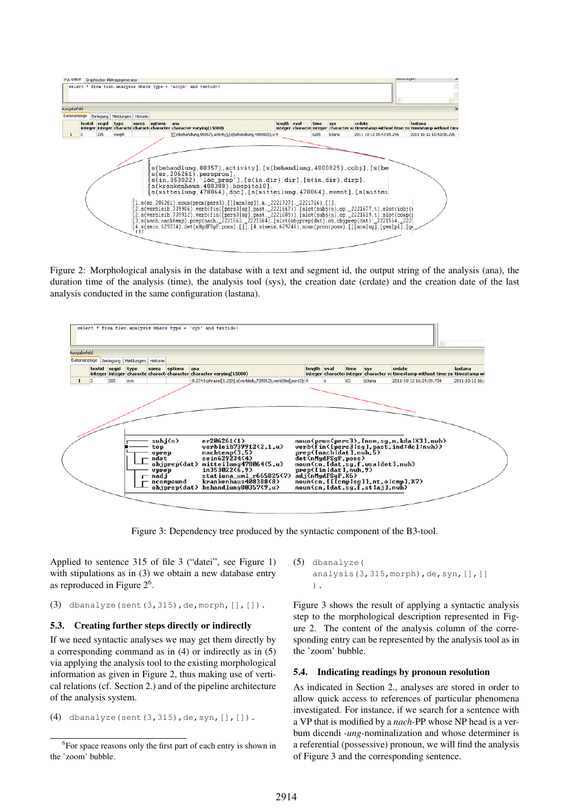

Figure 2: Morphological analysis in the database with a text and segment id, the output string of the analysis (ana), the duration time of the analysis (time), the analysis tool (sys), the creation date (crdate) and the creation date of the last analysis conducted in the same configuration (lastana).



Figure 3: Dependency tree produced by the syntactic component of the B3-tool.

Applied to sentence 315 of file 3 ("datei", see Figure 1) with stipulations as in (3) we obtain a new database entry as reproduced in Figure 2<sup>6</sup>.

(3) dbanalyze(sent(3,315),de,morph,[],[]).

#### 5.3. Creating further steps directly or indirectly

If we need syntactic analyses we may get them directly by a corresponding command as in (4) or indirectly as in (5) via applying the analysis tool to the existing morphological information as given in Figure 2, thus making use of vertical relations (cf. Section 2.) and of the pipeline architecture of the analysis system.

(4) dbanalyze(sent(3,315),de,syn,[],[]).

(5) dbanalyze( analysis(3,315, morph), de, syn, [], [] ).

Figure 3 shows the result of applying a syntactic analysis step to the morphological description represented in Figure 2. The content of the analysis column of the corresponding entry can be represented by the analysis tool as in the 'zoom' bubble.

#### 5.4. Indicating readings by pronoun resolution

As indicated in Section 2., analyses are stored in order to allow quick access to references of particular phenomena investigated. For instance, if we search for a sentence with a VP that is modified by a *nach*-PP whose NP head is a verbum dicendi *-ung*-nominalization and whose determiner is a referential (possessive) pronoun, we will find the analysis of Figure 3 and the corresponding sentence.

<sup>&</sup>lt;sup>6</sup>For space reasons only the first part of each entry is shown in the 'zoom' bubble.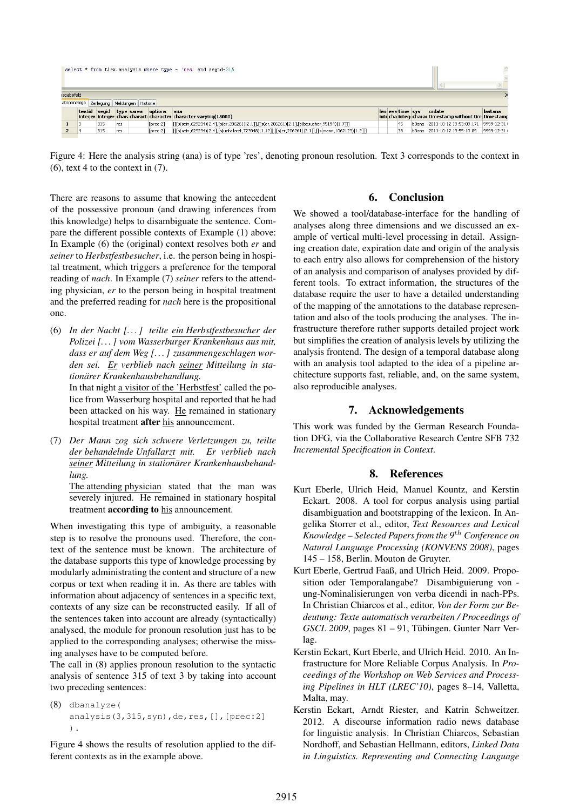| select * from tlex. analysis where type = 'res' and segid=315 |  |     |                                          |          |                                                                                                   |  |                  |  |                                                                   |            |
|---------------------------------------------------------------|--|-----|------------------------------------------|----------|---------------------------------------------------------------------------------------------------|--|------------------|--|-------------------------------------------------------------------|------------|
| sgabefeld                                                     |  |     | atenanzeige Zerlegung Meldungen Historie |          |                                                                                                   |  |                  |  |                                                                   |            |
|                                                               |  |     | textid segid type sarea options          |          | ana<br>integer integer chari characti character character varying (15000)                         |  | len eva time sys |  | crdate<br>inte cha intege charac timestamp without time timestamp | lastana    |
|                                                               |  | 315 | res                                      | Torec:21 | [[[s(sein,629234) 2.4],[s(er,206261) 2.1]],[[s(er,206261) 2.1],[s(besucher,95194) 1.7]]]          |  | 45               |  | b3ana 2011-10-12 19:53:09.171 9999-12-31 \                        |            |
|                                                               |  | 315 | res                                      | [prec:2] | [[[s(sein,629234) 2.4],[s(unfallarzt,723948) 1.12]],[[s(er,206261) 2.1]],[[s(mann,1062123) 1.2]]] |  | 38               |  | b3ana 2011-10-12 19:55:10.89                                      | 9999-12-31 |

Figure 4: Here the analysis string (ana) is of type 'res', denoting pronoun resolution. Text 3 corresponds to the context in  $(6)$ , text 4 to the context in  $(7)$ .

There are reasons to assume that knowing the antecedent of the possessive pronoun (and drawing inferences from this knowledge) helps to disambiguate the sentence. Compare the different possible contexts of Example (1) above: In Example (6) the (original) context resolves both *er* and *seiner* to *Herbstfestbesucher*, i.e. the person being in hospital treatment, which triggers a preference for the temporal reading of *nach*. In Example (7) *seiner* refers to the attending physician, *er* to the person being in hospital treatment and the preferred reading for *nach* here is the propositional one.

(6) *In der Nacht [. . . ] teilte ein Herbstfestbesucher der Polizei [. . . ] vom Wasserburger Krankenhaus aus mit, dass er auf dem Weg [. . . ] zusammengeschlagen worden sei. Er verblieb nach seiner Mitteilung in stationarer Krankenhausbehandlung. ¨* In that night a visitor of the 'Herbstfest' called the po-

lice from Wasserburg hospital and reported that he had been attacked on his way. He remained in stationary hospital treatment after his announcement.

(7) *Der Mann zog sich schwere Verletzungen zu, teilte der behandelnde Unfallarzt mit. Er verblieb nach seiner Mitteilung in stationarer Krankenhausbehand- ¨ lung.*

The attending physician stated that the man was severely injured. He remained in stationary hospital treatment according to his announcement.

When investigating this type of ambiguity, a reasonable step is to resolve the pronouns used. Therefore, the context of the sentence must be known. The architecture of the database supports this type of knowledge processing by modularly administrating the content and structure of a new corpus or text when reading it in. As there are tables with information about adjacency of sentences in a specific text, contexts of any size can be reconstructed easily. If all of the sentences taken into account are already (syntactically) analysed, the module for pronoun resolution just has to be applied to the corresponding analyses; otherwise the missing analyses have to be computed before.

The call in (8) applies pronoun resolution to the syntactic analysis of sentence 315 of text 3 by taking into account two preceding sentences:

(8) dbanalyze( analysis(3,315,syn),de,res, [], [prec:2] ).

Figure 4 shows the results of resolution applied to the different contexts as in the example above.

## 6. Conclusion

We showed a tool/database-interface for the handling of analyses along three dimensions and we discussed an example of vertical multi-level processing in detail. Assigning creation date, expiration date and origin of the analysis to each entry also allows for comprehension of the history of an analysis and comparison of analyses provided by different tools. To extract information, the structures of the database require the user to have a detailed understanding of the mapping of the annotations to the database representation and also of the tools producing the analyses. The infrastructure therefore rather supports detailed project work but simplifies the creation of analysis levels by utilizing the analysis frontend. The design of a temporal database along with an analysis tool adapted to the idea of a pipeline architecture supports fast, reliable, and, on the same system, also reproducible analyses.

## 7. Acknowledgements

This work was funded by the German Research Foundation DFG, via the Collaborative Research Centre SFB 732 *Incremental Specification in Context*.

## 8. References

- Kurt Eberle, Ulrich Heid, Manuel Kountz, and Kerstin Eckart. 2008. A tool for corpus analysis using partial disambiguation and bootstrapping of the lexicon. In Angelika Storrer et al., editor, *Text Resources and Lexical Knowledge – Selected Papers from the 9*th *Conference on Natural Language Processing (KONVENS 2008)*, pages 145 – 158, Berlin. Mouton de Gruyter.
- Kurt Eberle, Gertrud Faaß, and Ulrich Heid. 2009. Proposition oder Temporalangabe? Disambiguierung von ung-Nominalisierungen von verba dicendi in nach-PPs. In Christian Chiarcos et al., editor, *Von der Form zur Bedeutung: Texte automatisch verarbeiten / Proceedings of GSCL 2009*, pages 81 – 91, Tübingen. Gunter Narr Verlag.
- Kerstin Eckart, Kurt Eberle, and Ulrich Heid. 2010. An Infrastructure for More Reliable Corpus Analysis. In *Proceedings of the Workshop on Web Services and Processing Pipelines in HLT (LREC'10)*, pages 8–14, Valletta, Malta, may.
- Kerstin Eckart, Arndt Riester, and Katrin Schweitzer. 2012. A discourse information radio news database for linguistic analysis. In Christian Chiarcos, Sebastian Nordhoff, and Sebastian Hellmann, editors, *Linked Data in Linguistics. Representing and Connecting Language*